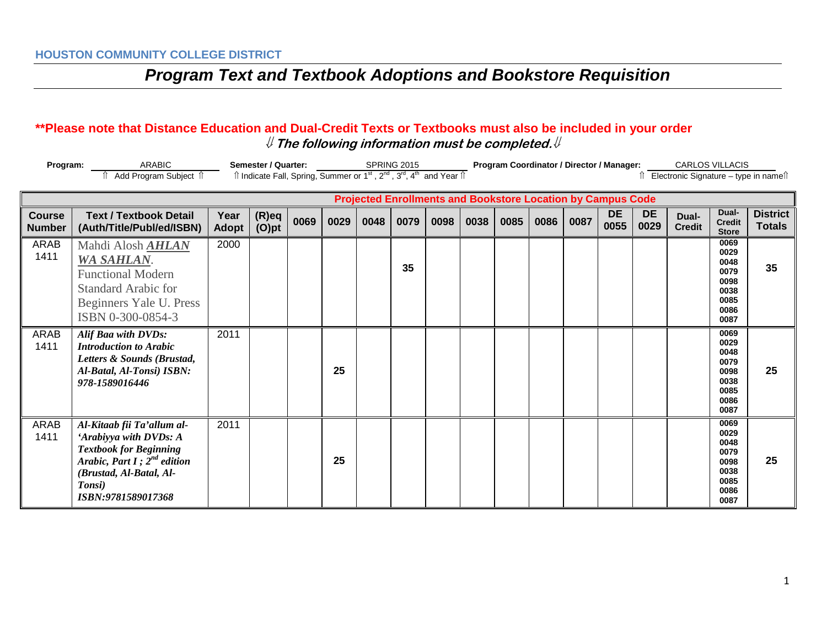## *Program Text and Textbook Adoptions and Bookstore Requisition*

## **\*\*Please note that Distance Education and Dual-Credit Texts or Textbooks must also be included in your order** ⇓ **The following information must be completed.**⇓

| Program:                                                           | <b>ARABIC</b><br>Add Program Subject 1                                                                                                                                               | Semester / Quarter:<br>Îl Indicate Fall, Spring, Summer or 1 <sup>st</sup> , 2 <sup>nd</sup> , 3 <sup>rd</sup> , 4 <sup>th</sup> and Year Îl |                      |      |      |      | SPRING 2015 |      |      | Program Coordinator / Director / Manager: |      |      |                   |                   |                        | CARLOS VILLACIS<br>Electronic Signature – type in names              |                                  |  |
|--------------------------------------------------------------------|--------------------------------------------------------------------------------------------------------------------------------------------------------------------------------------|----------------------------------------------------------------------------------------------------------------------------------------------|----------------------|------|------|------|-------------|------|------|-------------------------------------------|------|------|-------------------|-------------------|------------------------|----------------------------------------------------------------------|----------------------------------|--|
| <b>Projected Enrollments and Bookstore Location by Campus Code</b> |                                                                                                                                                                                      |                                                                                                                                              |                      |      |      |      |             |      |      |                                           |      |      |                   |                   |                        |                                                                      |                                  |  |
| <b>Course</b><br><b>Number</b>                                     | <b>Text / Textbook Detail</b><br>(Auth/Title/Publ/ed/ISBN)                                                                                                                           | Year<br><b>Adopt</b>                                                                                                                         | $(R)$ eq<br>$(O)$ pt | 0069 | 0029 | 0048 | 0079        | 0098 | 0038 | 0085                                      | 0086 | 0087 | <b>DE</b><br>0055 | <b>DE</b><br>0029 | Dual-<br><b>Credit</b> | Dual-<br><b>Credit</b><br><b>Store</b>                               | <b>District</b><br><b>Totals</b> |  |
| ARAB<br>1411                                                       | Mahdi Alosh <b>AHLAN</b><br>WA SAHLAN.<br><b>Functional Modern</b><br><b>Standard Arabic for</b><br>Beginners Yale U. Press<br>ISBN 0-300-0854-3                                     | 2000                                                                                                                                         |                      |      |      |      | 35          |      |      |                                           |      |      |                   |                   |                        | 0069<br>0029<br>0048<br>0079<br>0098<br>0038<br>0085<br>0086<br>0087 | 35                               |  |
| ARAB<br>1411                                                       | Alif Baa with DVDs:<br><b>Introduction to Arabic</b><br>Letters & Sounds (Brustad,<br>Al-Batal, Al-Tonsi) ISBN:<br>978-1589016446                                                    | 2011                                                                                                                                         |                      |      | 25   |      |             |      |      |                                           |      |      |                   |                   |                        | 0069<br>0029<br>0048<br>0079<br>0098<br>0038<br>0085<br>0086<br>0087 | 25                               |  |
| <b>ARAB</b><br>1411                                                | Al-Kitaab fii Ta'allum al-<br>'Arabiyya with DVDs: A<br><b>Textbook for Beginning</b><br>Arabic, Part I; $2^{nd}$ edition<br>(Brustad, Al-Batal, Al-<br>Tonsi)<br>ISBN:9781589017368 | 2011                                                                                                                                         |                      |      | 25   |      |             |      |      |                                           |      |      |                   |                   |                        | 0069<br>0029<br>0048<br>0079<br>0098<br>0038<br>0085<br>0086<br>0087 | 25                               |  |